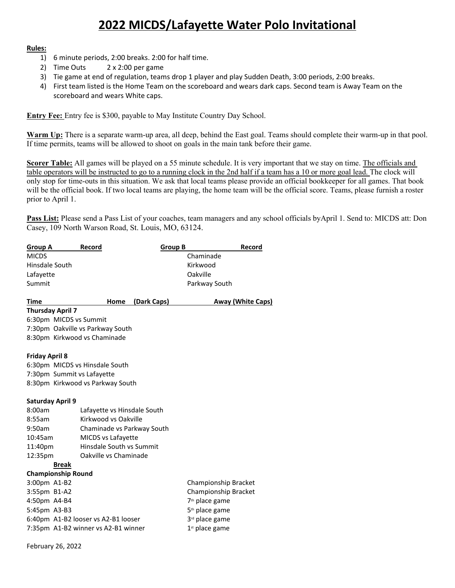## **2022 MICDS/Lafayette Water Polo Invitational**

## **Rules:**

- 1) 6 minute periods, 2:00 breaks. 2:00 for half time.
- 2) Time Outs 2 x 2:00 per game
- 3) Tie game at end of regulation, teams drop 1 player and play Sudden Death, 3:00 periods, 2:00 breaks.
- 4) First team listed is the Home Team on the scoreboard and wears dark caps. Second team is Away Team on the scoreboard and wears White caps.

**Entry Fee:** Entry fee is \$300, payable to May Institute Country Day School.

**Warm Up:** There is a separate warm-up area, all deep, behind the East goal. Teams should complete their warm-up in that pool. If time permits, teams will be allowed to shoot on goals in the main tank before their game.

**Scorer Table:** All games will be played on a 55 minute schedule. It is very important that we stay on time. The officials and table operators will be instructed to go to a running clock in the 2nd half if a team has a 10 or more goal lead. The clock will only stop for time-outs in this situation. We ask that local teams please provide an official bookkeeper for all games. That book will be the official book. If two local teams are playing, the home team will be the official score. Teams, please furnish a roster prior to April 1.

**Pass List:** Please send a Pass List of your coaches, team managers and any school officials byApril 1. Send to: MICDS att: Don Casey, 109 North Warson Road, St. Louis, MO, 63124.

| <b>Group A</b>                                                    | Record                           | <b>Group B</b>       |                            | Record                   |
|-------------------------------------------------------------------|----------------------------------|----------------------|----------------------------|--------------------------|
| <b>MICDS</b>                                                      |                                  |                      | Chaminade                  |                          |
| Hinsdale South                                                    |                                  |                      | Kirkwood                   |                          |
| Lafayette                                                         |                                  |                      | Oakville                   |                          |
| Summit                                                            |                                  |                      | Parkway South              |                          |
| <b>Time</b>                                                       | Home                             | (Dark Caps)          |                            | <b>Away (White Caps)</b> |
| <b>Thursday April 7</b>                                           |                                  |                      |                            |                          |
| 6:30pm MICDS vs Summit                                            |                                  |                      |                            |                          |
| 7:30pm Oakville vs Parkway South                                  |                                  |                      |                            |                          |
| 8:30pm Kirkwood vs Chaminade                                      |                                  |                      |                            |                          |
| <b>Friday April 8</b>                                             |                                  |                      |                            |                          |
| 6:30pm MICDS vs Hinsdale South                                    |                                  |                      |                            |                          |
| 7:30pm Summit vs Lafayette                                        |                                  |                      |                            |                          |
|                                                                   | 8:30pm Kirkwood vs Parkway South |                      |                            |                          |
| <b>Saturday April 9</b>                                           |                                  |                      |                            |                          |
| 8:00am<br>Lafayette vs Hinsdale South                             |                                  |                      |                            |                          |
| 8:55am<br>Kirkwood vs Oakville                                    |                                  |                      |                            |                          |
| 9:50am<br>Chaminade vs Parkway South                              |                                  |                      |                            |                          |
| 10:45am<br>MICDS vs Lafayette                                     |                                  |                      |                            |                          |
| Hinsdale South vs Summit<br>11:40pm                               |                                  |                      |                            |                          |
| 12:35pm                                                           | Oakville vs Chaminade            |                      |                            |                          |
| <b>Break</b>                                                      |                                  |                      |                            |                          |
| <b>Championship Round</b>                                         |                                  |                      |                            |                          |
| 3:00pm A1-B2                                                      |                                  |                      | Championship Bracket       |                          |
| 3:55pm B1-A2                                                      |                                  | Championship Bracket |                            |                          |
| 4:50pm A4-B4                                                      |                                  |                      | 7 <sup>th</sup> place game |                          |
| 5:45pm A3-B3                                                      |                                  |                      | 5 <sup>th</sup> place game |                          |
| 6:40pm A1-B2 looser vs A2-B1 looser                               |                                  |                      | 3rd place game             |                          |
| 7:35pm A1-B2 winner vs A2-B1 winner<br>1 <sup>st</sup> place game |                                  |                      |                            |                          |
|                                                                   |                                  |                      |                            |                          |

February 26, 2022